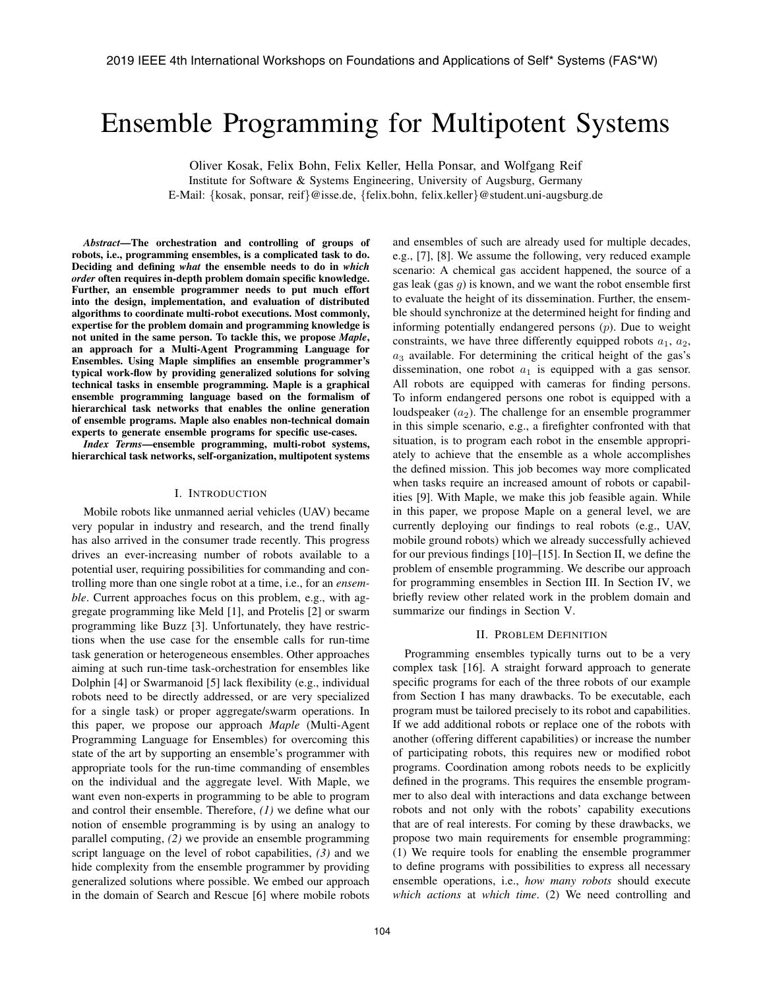# Ensemble Programming for Multipotent Systems

Oliver Kosak, Felix Bohn, Felix Keller, Hella Ponsar, and Wolfgang Reif Institute for Software & Systems Engineering, University of Augsburg, Germany E-Mail: {kosak, ponsar, reif}@isse.de, {felix.bohn, felix.keller}@student.uni-augsburg.de

*Abstract*—The orchestration and controlling of groups of robots, i.e., programming ensembles, is a complicated task to do. Deciding and defining *what* the ensemble needs to do in *which order* often requires in-depth problem domain specific knowledge. Further, an ensemble programmer needs to put much effort into the design, implementation, and evaluation of distributed algorithms to coordinate multi-robot executions. Most commonly, expertise for the problem domain and programming knowledge is not united in the same person. To tackle this, we propose *Maple*, an approach for a Multi-Agent Programming Language for Ensembles. Using Maple simplifies an ensemble programmer's typical work-flow by providing generalized solutions for solving technical tasks in ensemble programming. Maple is a graphical ensemble programming language based on the formalism of hierarchical task networks that enables the online generation of ensemble programs. Maple also enables non-technical domain experts to generate ensemble programs for specific use-cases.

*Index Terms*—ensemble programming, multi-robot systems, hierarchical task networks, self-organization, multipotent systems

## I. INTRODUCTION

Mobile robots like unmanned aerial vehicles (UAV) became very popular in industry and research, and the trend finally has also arrived in the consumer trade recently. This progress drives an ever-increasing number of robots available to a potential user, requiring possibilities for commanding and controlling more than one single robot at a time, i.e., for an *ensemble*. Current approaches focus on this problem, e.g., with aggregate programming like Meld [1], and Protelis [2] or swarm programming like Buzz [3]. Unfortunately, they have restrictions when the use case for the ensemble calls for run-time task generation or heterogeneous ensembles. Other approaches aiming at such run-time task-orchestration for ensembles like Dolphin [4] or Swarmanoid [5] lack flexibility (e.g., individual robots need to be directly addressed, or are very specialized for a single task) or proper aggregate/swarm operations. In this paper, we propose our approach *Maple* (Multi-Agent Programming Language for Ensembles) for overcoming this state of the art by supporting an ensemble's programmer with appropriate tools for the run-time commanding of ensembles on the individual and the aggregate level. With Maple, we want even non-experts in programming to be able to program and control their ensemble. Therefore, *(1)* we define what our notion of ensemble programming is by using an analogy to parallel computing, *(2)* we provide an ensemble programming script language on the level of robot capabilities, *(3)* and we hide complexity from the ensemble programmer by providing generalized solutions where possible. We embed our approach in the domain of Search and Rescue [6] where mobile robots and ensembles of such are already used for multiple decades, e.g., [7], [8]. We assume the following, very reduced example scenario: A chemical gas accident happened, the source of a gas leak (gas  $q$ ) is known, and we want the robot ensemble first to evaluate the height of its dissemination. Further, the ensemble should synchronize at the determined height for finding and informing potentially endangered persons  $(p)$ . Due to weight constraints, we have three differently equipped robots  $a_1, a_2,$  $a_3$  available. For determining the critical height of the gas's dissemination, one robot  $a_1$  is equipped with a gas sensor. All robots are equipped with cameras for finding persons. To inform endangered persons one robot is equipped with a loudspeaker  $(a_2)$ . The challenge for an ensemble programmer in this simple scenario, e.g., a firefighter confronted with that situation, is to program each robot in the ensemble appropriately to achieve that the ensemble as a whole accomplishes the defined mission. This job becomes way more complicated when tasks require an increased amount of robots or capabilities [9]. With Maple, we make this job feasible again. While in this paper, we propose Maple on a general level, we are currently deploying our findings to real robots (e.g., UAV, mobile ground robots) which we already successfully achieved for our previous findings [10]–[15]. In Section II, we define the problem of ensemble programming. We describe our approach for programming ensembles in Section III. In Section IV, we briefly review other related work in the problem domain and summarize our findings in Section V.

## II. PROBLEM DEFINITION

Programming ensembles typically turns out to be a very complex task [16]. A straight forward approach to generate specific programs for each of the three robots of our example from Section I has many drawbacks. To be executable, each program must be tailored precisely to its robot and capabilities. If we add additional robots or replace one of the robots with another (offering different capabilities) or increase the number of participating robots, this requires new or modified robot programs. Coordination among robots needs to be explicitly defined in the programs. This requires the ensemble programmer to also deal with interactions and data exchange between robots and not only with the robots' capability executions that are of real interests. For coming by these drawbacks, we propose two main requirements for ensemble programming: (1) We require tools for enabling the ensemble programmer to define programs with possibilities to express all necessary ensemble operations, i.e., *how many robots* should execute *which actions* at *which time*. (2) We need controlling and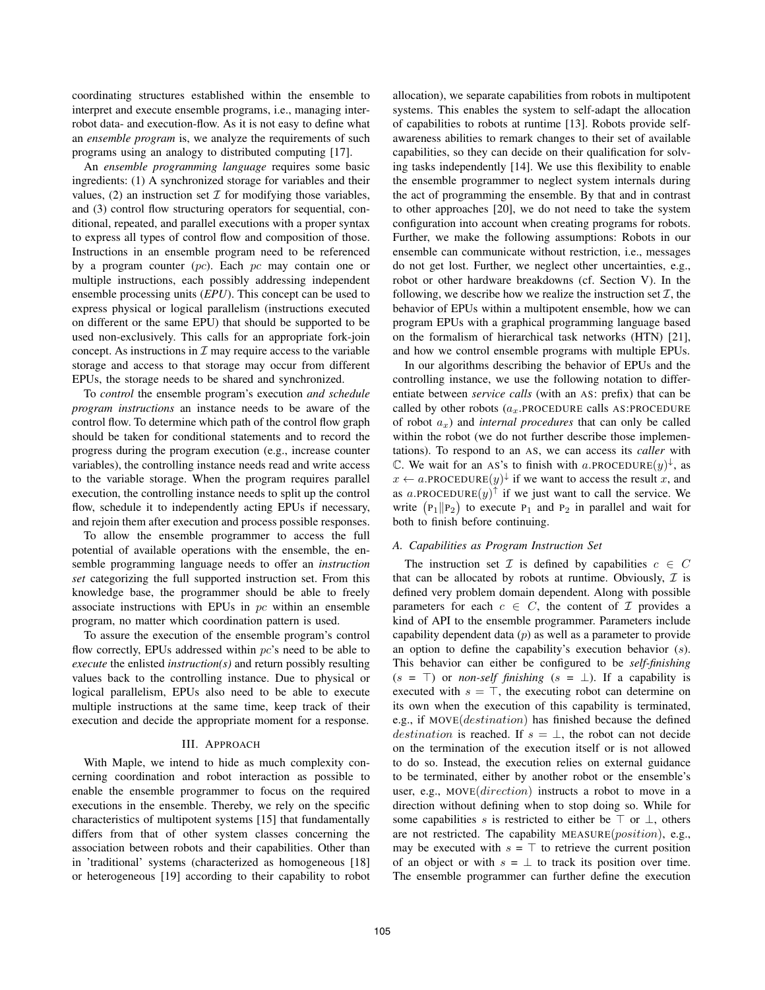coordinating structures established within the ensemble to interpret and execute ensemble programs, i.e., managing interrobot data- and execution-flow. As it is not easy to define what an *ensemble program* is, we analyze the requirements of such programs using an analogy to distributed computing [17].

An *ensemble programming language* requires some basic ingredients: (1) A synchronized storage for variables and their values, (2) an instruction set  $\mathcal I$  for modifying those variables, and (3) control flow structuring operators for sequential, conditional, repeated, and parallel executions with a proper syntax to express all types of control flow and composition of those. Instructions in an ensemble program need to be referenced by a program counter  $(pc)$ . Each  $pc$  may contain one or multiple instructions, each possibly addressing independent ensemble processing units (*EPU*). This concept can be used to express physical or logical parallelism (instructions executed on different or the same EPU) that should be supported to be used non-exclusively. This calls for an appropriate fork-join concept. As instructions in  $\mathcal I$  may require access to the variable storage and access to that storage may occur from different EPUs, the storage needs to be shared and synchronized.

To *control* the ensemble program's execution *and schedule program instructions* an instance needs to be aware of the control flow. To determine which path of the control flow graph should be taken for conditional statements and to record the progress during the program execution (e.g., increase counter variables), the controlling instance needs read and write access to the variable storage. When the program requires parallel execution, the controlling instance needs to split up the control flow, schedule it to independently acting EPUs if necessary, and rejoin them after execution and process possible responses.

To allow the ensemble programmer to access the full potential of available operations with the ensemble, the ensemble programming language needs to offer an *instruction set* categorizing the full supported instruction set. From this knowledge base, the programmer should be able to freely associate instructions with EPUs in pc within an ensemble program, no matter which coordination pattern is used.

To assure the execution of the ensemble program's control flow correctly, EPUs addressed within  $pc$ 's need to be able to *execute* the enlisted *instruction(s)* and return possibly resulting values back to the controlling instance. Due to physical or logical parallelism, EPUs also need to be able to execute multiple instructions at the same time, keep track of their execution and decide the appropriate moment for a response.

### III. APPROACH

With Maple, we intend to hide as much complexity concerning coordination and robot interaction as possible to enable the ensemble programmer to focus on the required executions in the ensemble. Thereby, we rely on the specific characteristics of multipotent systems [15] that fundamentally differs from that of other system classes concerning the association between robots and their capabilities. Other than in 'traditional' systems (characterized as homogeneous [18] or heterogeneous [19] according to their capability to robot allocation), we separate capabilities from robots in multipotent systems. This enables the system to self-adapt the allocation of capabilities to robots at runtime [13]. Robots provide selfawareness abilities to remark changes to their set of available capabilities, so they can decide on their qualification for solving tasks independently [14]. We use this flexibility to enable the ensemble programmer to neglect system internals during the act of programming the ensemble. By that and in contrast to other approaches [20], we do not need to take the system configuration into account when creating programs for robots. Further, we make the following assumptions: Robots in our ensemble can communicate without restriction, i.e., messages do not get lost. Further, we neglect other uncertainties, e.g., robot or other hardware breakdowns (cf. Section V). In the following, we describe how we realize the instruction set  $\mathcal{I}$ , the behavior of EPUs within a multipotent ensemble, how we can program EPUs with a graphical programming language based on the formalism of hierarchical task networks (HTN) [21], and how we control ensemble programs with multiple EPUs.

In our algorithms describing the behavior of EPUs and the controlling instance, we use the following notation to differentiate between *service calls* (with an AS: prefix) that can be called by other robots  $(a_x.\text{PROCEDURE}$  calls AS:PROCEDURE of robot  $a<sub>x</sub>$ ) and *internal procedures* that can only be called within the robot (we do not further describe those implementations). To respond to an AS, we can access its *caller* with C. We wait for an AS's to finish with a.PROCEDURE $(y)$ <sup> $\downarrow$ </sup>, as  $x \leftarrow a$ . PROCEDURE $(y)^{\downarrow}$  if we want to access the result x, and as a.PROCEDURE $(y)$ <sup> $\uparrow$ </sup> if we just want to call the service. We write  $(P_1||P_2)$  to execute  $P_1$  and  $P_2$  in parallel and wait for both to finish before continuing.

### *A. Capabilities as Program Instruction Set*

The instruction set  $\mathcal I$  is defined by capabilities  $c \in C$ that can be allocated by robots at runtime. Obviously,  $\mathcal I$  is defined very problem domain dependent. Along with possible parameters for each  $c \in C$ , the content of  $\mathcal I$  provides a kind of API to the ensemble programmer. Parameters include capability dependent data  $(p)$  as well as a parameter to provide an option to define the capability's execution behavior (s). This behavior can either be configured to be *self-finishing*  $(s = \top)$  or *non-self finishing*  $(s = \bot)$ . If a capability is executed with  $s = \top$ , the executing robot can determine on its own when the execution of this capability is terminated, e.g., if MOVE(destination) has finished because the defined destination is reached. If  $s = \perp$ , the robot can not decide on the termination of the execution itself or is not allowed to do so. Instead, the execution relies on external guidance to be terminated, either by another robot or the ensemble's user, e.g., MOVE(direction) instructs a robot to move in a direction without defining when to stop doing so. While for some capabilities s is restricted to either be  $\top$  or  $\bot$ , others are not restricted. The capability MEASURE(position), e.g., may be executed with  $s = \top$  to retrieve the current position of an object or with  $s = \perp$  to track its position over time. The ensemble programmer can further define the execution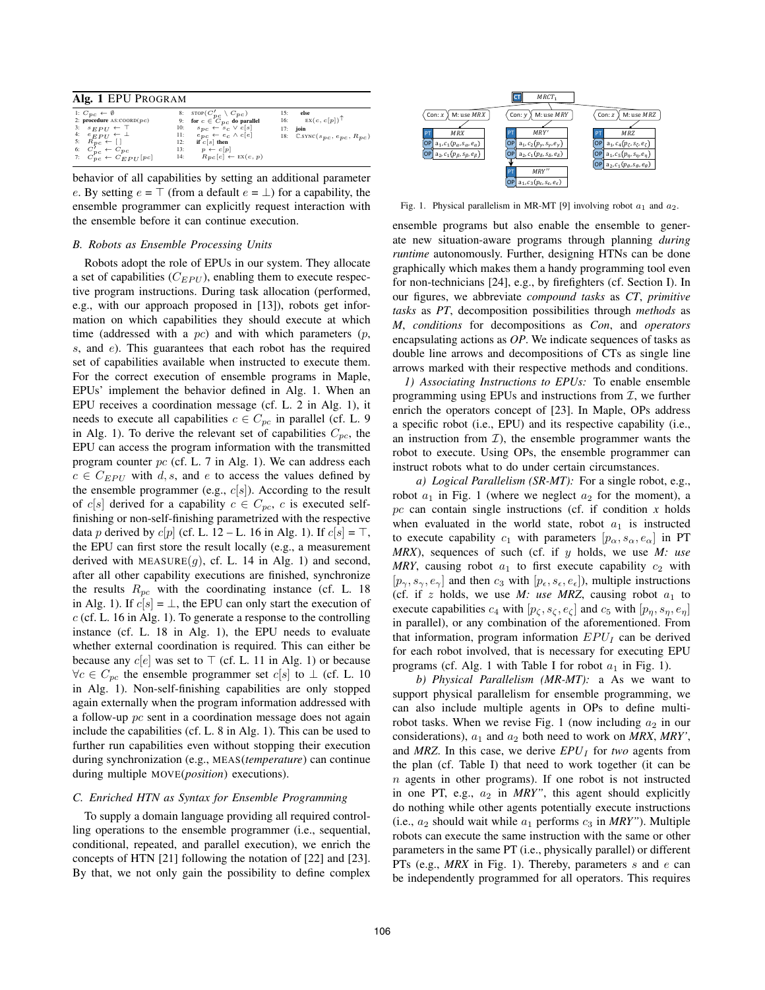| Alg. 1 EPU PROGRAM                                                                                                                                                                                                                                     |            |                                                                                                                                                                                                                                                                          |     |                                                                                      |
|--------------------------------------------------------------------------------------------------------------------------------------------------------------------------------------------------------------------------------------------------------|------------|--------------------------------------------------------------------------------------------------------------------------------------------------------------------------------------------------------------------------------------------------------------------------|-----|--------------------------------------------------------------------------------------|
| 1: $C_{pc} \leftarrow \emptyset$<br>2: procedure $\text{AS:COORD}(pc)$<br>3: $s_{EPII} \leftarrow \top$<br>4: $e_{EPII} \leftarrow \perp$<br>5: $R_{pc} \leftarrow []$<br>6: $C_{pc}^{\prime} \leftarrow C_{pc}$<br>7: $C_{pc} \leftarrow C_{EPU}[pc]$ | 12:<br>13: | 8: $\operatorname{STOP}(C'_{pc} \setminus C_{pc})$<br>9: for $c \in C_{pc}$ do parallel<br>10: $s_{pc} \leftarrow s_c \vee c[s]$<br>11: $\hat{e_{pc}} \leftarrow e_c \wedge c[e]$<br>if $c[s]$ then<br>$p \leftarrow c[p]$<br>14: $R_{pc}[c] \leftarrow \text{EX}(c, p)$ | 15: | else<br>16: $EX(c, c[p])^T$<br>$17:$ ioin<br>18: $\mathbb{C}$ SYNC $(spc, epc, Rpc)$ |

behavior of all capabilities by setting an additional parameter e. By setting  $e = \top$  (from a default  $e = \bot$ ) for a capability, the ensemble programmer can explicitly request interaction with the ensemble before it can continue execution.

# *B. Robots as Ensemble Processing Units*

Robots adopt the role of EPUs in our system. They allocate a set of capabilities  $(C_{EPU})$ , enabling them to execute respective program instructions. During task allocation (performed, e.g., with our approach proposed in [13]), robots get information on which capabilities they should execute at which time (addressed with a  $pc$ ) and with which parameters  $(p,$ s, and e). This guarantees that each robot has the required set of capabilities available when instructed to execute them. For the correct execution of ensemble programs in Maple, EPUs' implement the behavior defined in Alg. 1. When an EPU receives a coordination message (cf. L. 2 in Alg. 1), it needs to execute all capabilities  $c \in C_{pc}$  in parallel (cf. L. 9) in Alg. 1). To derive the relevant set of capabilities  $C_{pc}$ , the EPU can access the program information with the transmitted program counter pc (cf. L. 7 in Alg. 1). We can address each  $c \in C_{EPU}$  with d, s, and e to access the values defined by the ensemble programmer (e.g.,  $c[s]$ ). According to the result of c[s] derived for a capability  $c \in C_{pc}$ , c is executed selffinishing or non-self-finishing parametrized with the respective data p derived by  $c[p]$  (cf. L. 12 – L. 16 in Alg. 1). If  $c[s] = \top$ , the EPU can first store the result locally (e.g., a measurement derived with  $MEASURE(g)$ , cf. L. 14 in Alg. 1) and second, after all other capability executions are finished, synchronize the results  $R_{pc}$  with the coordinating instance (cf. L. 18) in Alg. 1). If  $c[s] = \perp$ , the EPU can only start the execution of  $c$  (cf. L. 16 in Alg. 1). To generate a response to the controlling instance (cf. L. 18 in Alg. 1), the EPU needs to evaluate whether external coordination is required. This can either be because any  $c[e]$  was set to  $\top$  (cf. L. 11 in Alg. 1) or because  $\forall c \in C_{pc}$  the ensemble programmer set  $c[s]$  to  $\perp$  (cf. L. 10 in Alg. 1). Non-self-finishing capabilities are only stopped again externally when the program information addressed with a follow-up pc sent in a coordination message does not again include the capabilities (cf. L. 8 in Alg. 1). This can be used to further run capabilities even without stopping their execution during synchronization (e.g., MEAS(*temperature*) can continue during multiple MOVE(*position*) executions).

### *C. Enriched HTN as Syntax for Ensemble Programming*

To supply a domain language providing all required controlling operations to the ensemble programmer (i.e., sequential, conditional, repeated, and parallel execution), we enrich the concepts of HTN [21] following the notation of [22] and [23]. By that, we not only gain the possibility to define complex



Fig. 1. Physical parallelism in MR-MT [9] involving robot  $a_1$  and  $a_2$ .

ensemble programs but also enable the ensemble to generate new situation-aware programs through planning *during runtime* autonomously. Further, designing HTNs can be done graphically which makes them a handy programming tool even for non-technicians [24], e.g., by firefighters (cf. Section I). In our figures, we abbreviate *compound tasks* as *CT*, *primitive tasks* as *PT*, decomposition possibilities through *methods* as *M*, *conditions* for decompositions as *Con*, and *operators* encapsulating actions as *OP*. We indicate sequences of tasks as double line arrows and decompositions of CTs as single line arrows marked with their respective methods and conditions.

*1) Associating Instructions to EPUs:* To enable ensemble programming using EPUs and instructions from  $I$ , we further enrich the operators concept of [23]. In Maple, OPs address a specific robot (i.e., EPU) and its respective capability (i.e., an instruction from  $\mathcal{I}$ ), the ensemble programmer wants the robot to execute. Using OPs, the ensemble programmer can instruct robots what to do under certain circumstances.

*a) Logical Parallelism (SR-MT):* For a single robot, e.g., robot  $a_1$  in Fig. 1 (where we neglect  $a_2$  for the moment), a pc can contain single instructions (cf. if condition *x* holds when evaluated in the world state, robot  $a_1$  is instructed to execute capability  $c_1$  with parameters  $[p_\alpha, s_\alpha, e_\alpha]$  in PT *MRX*), sequences of such (cf. if y holds, we use *M: use MRY*, causing robot  $a_1$  to first execute capability  $c_2$  with  $[p_{\gamma}, s_{\gamma}, e_{\gamma}]$  and then  $c_3$  with  $[p_{\epsilon}, s_{\epsilon}, e_{\epsilon}]$ , multiple instructions (cf. if z holds, we use *M: use MRZ*, causing robot  $a_1$  to execute capabilities  $c_4$  with  $[p_\zeta, s_\zeta, e_\zeta]$  and  $c_5$  with  $[p_n, s_n, e_n]$ in parallel), or any combination of the aforementioned. From that information, program information  $EPU<sub>I</sub>$  can be derived for each robot involved, that is necessary for executing EPU programs (cf. Alg. 1 with Table I for robot  $a_1$  in Fig. 1).

*b) Physical Parallelism (MR-MT):* a As we want to support physical parallelism for ensemble programming, we can also include multiple agents in OPs to define multirobot tasks. When we revise Fig. 1 (now including  $a_2$  in our considerations),  $a_1$  and  $a_2$  both need to work on *MRX*, *MRY'*, and *MRZ*. In this case, we derive  $EPU<sub>I</sub>$  for *two* agents from the plan (cf. Table I) that need to work together (it can be  $n$  agents in other programs). If one robot is not instructed in one PT, e.g.,  $a_2$  in MRY", this agent should explicitly do nothing while other agents potentially execute instructions (i.e.,  $a_2$  should wait while  $a_1$  performs  $c_3$  in *MRY"*). Multiple robots can execute the same instruction with the same or other parameters in the same PT (i.e., physically parallel) or different PTs (e.g., *MRX* in Fig. 1). Thereby, parameters s and e can be independently programmed for all operators. This requires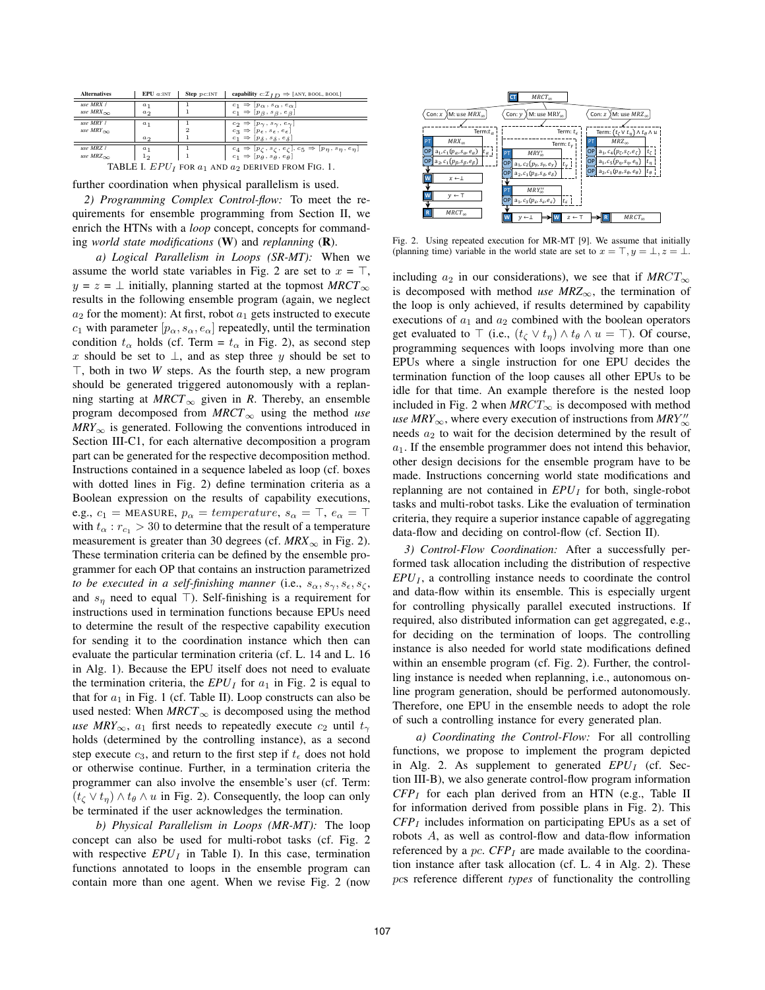| <b>Alternatives</b> | EPU a:INT      | Step pc:INT | capability $c:\mathcal{I}_{ID} \Rightarrow$ [ANY, BOOL, BOOL]                                                                                                            |
|---------------------|----------------|-------------|--------------------------------------------------------------------------------------------------------------------------------------------------------------------------|
| use MRX /           | $a_1$          |             | $c_1 \Rightarrow [p_{\alpha}, s_{\alpha}, e_{\alpha}]$                                                                                                                   |
| use $MRX_{\infty}$  | a <sub>2</sub> |             | $c_1 \Rightarrow [p_\beta, s_\beta, e_\beta]$                                                                                                                            |
| use MRY /           | $a_1$          | 2           | $\begin{array}{c} c_2 \Rightarrow [p_{\gamma}, s_{\gamma}, e_{\gamma}] \\ c_3 \Rightarrow [p_{\epsilon}, s_{\epsilon}, e_{\epsilon}] \end{array}$                        |
| use $MRY_{\infty}$  | a <sub>2</sub> |             | $c_1 \Rightarrow [p_\delta, s_\delta, e_\delta]$                                                                                                                         |
| use MRZ /           | $a_1$          |             | $c_4 \Rightarrow \overline{[p_{\zeta}, s_{\zeta}, e_{\zeta}]}, c_5 \Rightarrow [p_{\eta}, s_{\eta}, e_{\eta}]$<br>$c_1 \Rightarrow [p_{\theta}, s_{\theta}, e_{\theta}]$ |
| use $MRZ_{\infty}$  | 12             |             | TABLE I. $EPU_I$ for $a_1$ and $a_2$ derived from Fig. 1.                                                                                                                |

further coordination when physical parallelism is used.

*2) Programming Complex Control-flow:* To meet the requirements for ensemble programming from Section II, we enrich the HTNs with a *loop* concept, concepts for commanding *world state modifications* (W) and *replanning* (R).

*a) Logical Parallelism in Loops (SR-MT):* When we assume the world state variables in Fig. 2 are set to  $x = \top$ ,  $y = z = \perp$  initially, planning started at the topmost *MRCT*<sub>∞</sub> results in the following ensemble program (again, we neglect  $a_2$  for the moment): At first, robot  $a_1$  gets instructed to execute  $c_1$  with parameter  $[p_\alpha, s_\alpha, e_\alpha]$  repeatedly, until the termination condition  $t_{\alpha}$  holds (cf. Term =  $t_{\alpha}$  in Fig. 2), as second step x should be set to  $\bot$ , and as step three y should be set to  $\top$ , both in two *W* steps. As the fourth step, a new program should be generated triggered autonomously with a replanning starting at *MRCT*<sub>∞</sub> given in *R*. Thereby, an ensemble program decomposed from  $MRCT_{\infty}$  using the method *use*  $MRY_{\infty}$  is generated. Following the conventions introduced in Section III-C1, for each alternative decomposition a program part can be generated for the respective decomposition method. Instructions contained in a sequence labeled as loop (cf. boxes with dotted lines in Fig. 2) define termination criteria as a Boolean expression on the results of capability executions, e.g.,  $c_1$  = MEASURE,  $p_\alpha$  = temperature,  $s_\alpha$  =  $\top$ ,  $e_\alpha$  =  $\top$ with  $t_{\alpha}$ :  $r_{c_1} > 30$  to determine that the result of a temperature measurement is greater than 30 degrees (cf. *MRX*<sup>∞</sup> in Fig. 2). These termination criteria can be defined by the ensemble programmer for each OP that contains an instruction parametrized *to be executed in a self-finishing manner* (i.e.,  $s_{\alpha}, s_{\gamma}, s_{\epsilon}, s_{\zeta}$ , and  $s_n$  need to equal  $\top$ ). Self-finishing is a requirement for instructions used in termination functions because EPUs need to determine the result of the respective capability execution for sending it to the coordination instance which then can evaluate the particular termination criteria (cf. L. 14 and L. 16 in Alg. 1). Because the EPU itself does not need to evaluate the termination criteria, the  $EPU<sub>I</sub>$  for  $a<sub>1</sub>$  in Fig. 2 is equal to that for  $a_1$  in Fig. 1 (cf. Table II). Loop constructs can also be used nested: When  $MRCT_{\infty}$  is decomposed using the method *use*  $MRY_{\infty}$ ,  $a_1$  first needs to repeatedly execute  $c_2$  until  $t_{\gamma}$ holds (determined by the controlling instance), as a second step execute  $c_3$ , and return to the first step if  $t_6$  does not hold or otherwise continue. Further, in a termination criteria the programmer can also involve the ensemble's user (cf. Term:  $(t_\zeta \vee t_\eta) \wedge t_\theta \wedge u$  in Fig. 2). Consequently, the loop can only be terminated if the user acknowledges the termination.

*b) Physical Parallelism in Loops (MR-MT):* The loop concept can also be used for multi-robot tasks (cf. Fig. 2 with respective  $EPU_I$  in Table I). In this case, termination functions annotated to loops in the ensemble program can contain more than one agent. When we revise Fig. 2 (now



Fig. 2. Using repeated execution for MR-MT [9]. We assume that initially (planning time) variable in the world state are set to  $x = \top, y = \bot, z = \bot$ .

including  $a_2$  in our considerations), we see that if *MRCT*<sub>∞</sub> is decomposed with method *use*  $MRZ_{\infty}$ , the termination of the loop is only achieved, if results determined by capability executions of  $a_1$  and  $a_2$  combined with the boolean operators get evaluated to  $\top$  (i.e.,  $(t_\zeta \vee t_\eta) \wedge t_\theta \wedge u = \top$ ). Of course, programming sequences with loops involving more than one EPUs where a single instruction for one EPU decides the termination function of the loop causes all other EPUs to be idle for that time. An example therefore is the nested loop included in Fig. 2 when  $MRCT_{\infty}$  is decomposed with method *use MRY*<sub>∞</sub>, where every execution of instructions from *MRY*<sup>*w*</sup> needs  $a_2$  to wait for the decision determined by the result of  $a_1$ . If the ensemble programmer does not intend this behavior, other design decisions for the ensemble program have to be made. Instructions concerning world state modifications and replanning are not contained in  $EPU<sub>I</sub>$  for both, single-robot tasks and multi-robot tasks. Like the evaluation of termination criteria, they require a superior instance capable of aggregating data-flow and deciding on control-flow (cf. Section II).

*3) Control-Flow Coordination:* After a successfully performed task allocation including the distribution of respective  $EPU<sub>I</sub>$ , a controlling instance needs to coordinate the control and data-flow within its ensemble. This is especially urgent for controlling physically parallel executed instructions. If required, also distributed information can get aggregated, e.g., for deciding on the termination of loops. The controlling instance is also needed for world state modifications defined within an ensemble program (cf. Fig. 2). Further, the controlling instance is needed when replanning, i.e., autonomous online program generation, should be performed autonomously. Therefore, one EPU in the ensemble needs to adopt the role of such a controlling instance for every generated plan.

*a) Coordinating the Control-Flow:* For all controlling functions, we propose to implement the program depicted in Alg. 2. As supplement to generated  $EPU<sub>I</sub>$  (cf. Section III-B), we also generate control-flow program information  $CFP<sub>I</sub>$  for each plan derived from an HTN (e.g., Table II for information derived from possible plans in Fig. 2). This  $CFP<sub>I</sub>$  includes information on participating EPUs as a set of robots A, as well as control-flow and data-flow information referenced by a  $pc$ .  $CFP<sub>I</sub>$  are made available to the coordination instance after task allocation (cf. L. 4 in Alg. 2). These pcs reference different *types* of functionality the controlling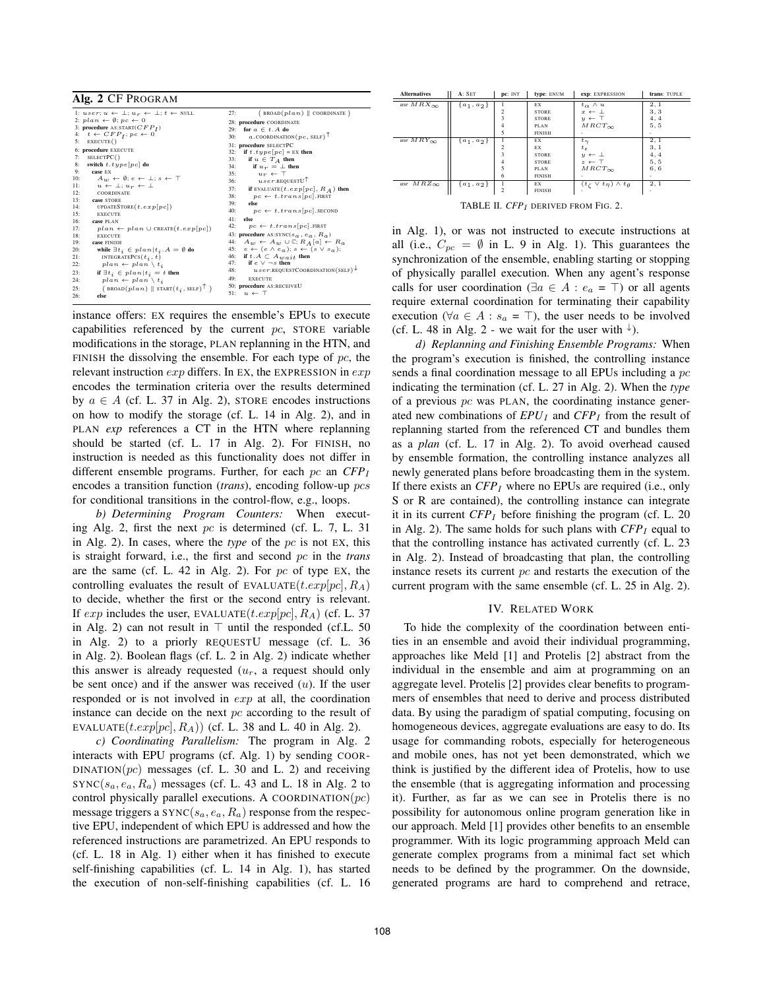|     | Alg. 2 CF Program                                                           |     |                                                                 |
|-----|-----------------------------------------------------------------------------|-----|-----------------------------------------------------------------|
|     | 1: $user; u \leftarrow \bot; u_r \leftarrow \bot; t \leftarrow \text{NULL}$ | 27: | $($ BROAD $(plan)$ $  $ COORDINATE)                             |
|     | 2: $plan \leftarrow \emptyset$ ; $pc \leftarrow 0$                          |     | 28: procedure COORDINATE                                        |
|     | 3: procedure AS:START( $CFP_T$ )                                            | 29: | for $a \in t.A$ do                                              |
|     | 4: $t \leftarrow CFP_I; pc \leftarrow 0$                                    | 30: | $a$ . COORDINATION $(pc, \text{SELF})^T$                        |
|     | $5:$ EXECUTE()                                                              |     | 31: procedure SELECTPC                                          |
|     | 6: procedure EXECUTE                                                        | 32: | if $t. type[pc] = EX$ then                                      |
| 7:  | SELECTPC()                                                                  | 33: | if $u \in T_A$ then                                             |
| 8:  | switch $t. type[pc]$ do                                                     | 34: | if $u_r = \perp$ then                                           |
| 9:  | case EX                                                                     | 35: | $u_r \leftarrow \top$                                           |
| 10: | $A_w \leftarrow \emptyset$ ; $e \leftarrow \perp$ ; $s \leftarrow \top$     | 36: | $user$ .REQUESTU <sup>T</sup>                                   |
| 11: | $u \leftarrow \perp: u_r \leftarrow \perp$                                  | 37: | if EVALUATE(t.exp[pc], $R_A$ ) then                             |
| 12: | COORDINATE                                                                  | 38: | $pc \leftarrow t.transpose[pc]$ .FIRST                          |
| 13: | case STORE                                                                  | 39: | else                                                            |
| 14: | UPDATESTORE $(t.\exp[pc])$                                                  | 40: | $pc \leftarrow t.transpose[pc]$ . SECOND                        |
| 15: | <b>EXECUTE</b>                                                              | 41: | else                                                            |
| 16: | case PLAN                                                                   | 42: |                                                                 |
| 17: | $plan \leftarrow plan \cup \text{CREATE}(t.exp[pc])$                        |     | $pc \leftarrow t.transpose[pc]$ .FIRST                          |
| 18: | <b>EXECUTE</b>                                                              |     | 43: procedure AS:SYNC( $s_a$ , $e_a$ , $R_a$ )                  |
| 19: | case FINISH                                                                 |     | 44: $A_w \leftarrow A_w \cup \mathbb{C}; R_A[a] \leftarrow R_a$ |
| 20: | while $\exists t_i \in plan   t_i.A = \emptyset$ do                         | 45: | $e \leftarrow (e \land e_a); s \leftarrow (s \lor s_a);$        |
| 21: | INTEGRATEPCS $(t_i, t)$                                                     |     | 46: if $t.A \subset A_{wait}$ then                              |
| 22: | $plan \leftarrow plan \setminus t_i$                                        | 47: | if $e \vee \neg s$ then                                         |
| 23: | if $\exists t_i \in plan   t_i = t$ then                                    | 48: | $user$ REQUESTCOORDINATION(SELF) <sup>+</sup>                   |
| 24: | $plan \leftarrow plan \setminus t_i$                                        | 49: | <b>EXECUTE</b>                                                  |
| 25: | $($ BROAD $(plan)$    START $(t_i,$ SELF) <sup>T</sup>                      |     | 50: procedure AS:RECEIVEU                                       |
| 26: | else                                                                        | 51: | $u \leftarrow \top$                                             |

instance offers: EX requires the ensemble's EPUs to execute capabilities referenced by the current pc, STORE variable modifications in the storage, PLAN replanning in the HTN, and FINISH the dissolving the ensemble. For each type of  $pc$ , the relevant instruction  $exp$  differs. In EX, the EXPRESSION in  $exp$ encodes the termination criteria over the results determined by  $a \in A$  (cf. L. 37 in Alg. 2), STORE encodes instructions on how to modify the storage (cf. L. 14 in Alg. 2), and in PLAN *exp* references a CT in the HTN where replanning should be started (cf. L. 17 in Alg. 2). For FINISH, no instruction is needed as this functionality does not differ in different ensemble programs. Further, for each  $pc$  an  $CFP<sub>I</sub>$ encodes a transition function *(trans)*, encoding follow-up *pcs* for conditional transitions in the control-flow, e.g., loops.

*b) Determining Program Counters:* When executing Alg. 2, first the next pc is determined (cf. L. 7, L. 31 in Alg. 2). In cases, where the *type* of the pc is not EX, this is straight forward, i.e., the first and second pc in the *trans* are the same (cf. L. 42 in Alg. 2). For pc of type EX, the controlling evaluates the result of EVALUATE(t.exp[pc],  $R_A$ ) to decide, whether the first or the second entry is relevant. If exp includes the user, EVALUATE $(t.\exp[pc], R_A)$  (cf. L. 37) in Alg. 2) can not result in  $\top$  until the responded (cf.L. 50) in Alg. 2) to a priorly REQUESTU message (cf. L. 36 in Alg. 2). Boolean flags (cf. L. 2 in Alg. 2) indicate whether this answer is already requested  $(u_r, a$  request should only be sent once) and if the answer was received  $(u)$ . If the user responded or is not involved in exp at all, the coordination instance can decide on the next pc according to the result of EVALUATE $(t.\exp[pc], R_A)$ ) (cf. L. 38 and L. 40 in Alg. 2).

*c) Coordinating Parallelism:* The program in Alg. 2 interacts with EPU programs (cf. Alg. 1) by sending COOR- $DINATION(pc)$  messages (cf. L. 30 and L. 2) and receiving  $SYNC(s_a, e_a, R_a)$  messages (cf. L. 43 and L. 18 in Alg. 2 to control physically parallel executions. A COORDINATION $(pc)$ message triggers a  $\text{SYNC}(s_a, e_a, R_a)$  response from the respective EPU, independent of which EPU is addressed and how the referenced instructions are parametrized. An EPU responds to (cf. L. 18 in Alg. 1) either when it has finished to execute self-finishing capabilities (cf. L. 14 in Alg. 1), has started the execution of non-self-finishing capabilities (cf. L. 16

|| A: SET | pc: INT | type: ENUM | exp: EXPRESSION | trans: TUPLE

| use $MRX_{\infty}$                          | $\{a_1, a_2\}$ |                | EX            | $t_{\alpha} \wedge u$                   | 2.1  |
|---------------------------------------------|----------------|----------------|---------------|-----------------------------------------|------|
|                                             |                |                | <b>STORE</b>  | $x \leftarrow \bot$                     | 3, 3 |
|                                             |                |                | <b>STORE</b>  | $y \leftarrow \top$                     | 4, 4 |
|                                             |                |                | <b>PLAN</b>   | $MRCT_{\infty}$                         | 5.5  |
|                                             |                |                | <b>FINISH</b> |                                         |      |
| use $\overline{M}$ $\overline{RY_{\infty}}$ | $\{a_1, a_2\}$ |                | EX            | $t_{\sim}$                              | 2.1  |
|                                             |                |                | EX            | $\tau_{\epsilon}$                       | 3, 1 |
|                                             |                |                | <b>STORE</b>  | $y \leftarrow \perp$                    | 4.4  |
|                                             |                |                | <b>STORE</b>  | $z \leftarrow \top$                     | 5.5  |
|                                             |                |                | <b>PLAN</b>   | $MRCT_{\infty}$                         | 6, 6 |
|                                             |                | 6              | <b>FINISH</b> |                                         |      |
| use $MRZ_{\infty}$                          | $\{a_1, a_2\}$ |                | EX            | $(t_\zeta \vee t_\eta) \wedge t_\theta$ | 2,1  |
|                                             |                | $\overline{c}$ | <b>FINISH</b> |                                         | ٠    |
|                                             |                |                |               |                                         |      |

TABLE II. *CFP<sub>I</sub>* DERIVED FROM FIG. 2.

in Alg. 1), or was not instructed to execute instructions at all (i.e.,  $C_{pc} = \emptyset$  in L. 9 in Alg. 1). This guarantees the synchronization of the ensemble, enabling starting or stopping of physically parallel execution. When any agent's response calls for user coordination ( $\exists a \in A : e_a = \top$ ) or all agents require external coordination for terminating their capability execution ( $\forall a \in A : s_a = \top$ ), the user needs to be involved (cf. L. 48 in Alg. 2 - we wait for the user with  $\downarrow$ ).

*d) Replanning and Finishing Ensemble Programs:* When the program's execution is finished, the controlling instance sends a final coordination message to all EPUs including a pc indicating the termination (cf. L. 27 in Alg. 2). When the *type* of a previous  $pc$  was PLAN, the coordinating instance generated new combinations of  $EPU_I$  and  $CFP_I$  from the result of replanning started from the referenced CT and bundles them as a *plan* (cf. L. 17 in Alg. 2). To avoid overhead caused by ensemble formation, the controlling instance analyzes all newly generated plans before broadcasting them in the system. If there exists an *CFP<sub>I</sub>* where no EPUs are required (i.e., only S or R are contained), the controlling instance can integrate it in its current  $CFP<sub>I</sub>$  before finishing the program (cf. L. 20 in Alg. 2). The same holds for such plans with  $CFP<sub>I</sub>$  equal to that the controlling instance has activated currently (cf. L. 23 in Alg. 2). Instead of broadcasting that plan, the controlling instance resets its current  $pc$  and restarts the execution of the current program with the same ensemble (cf. L. 25 in Alg. 2).

# IV. RELATED WORK

To hide the complexity of the coordination between entities in an ensemble and avoid their individual programming, approaches like Meld [1] and Protelis [2] abstract from the individual in the ensemble and aim at programming on an aggregate level. Protelis [2] provides clear benefits to programmers of ensembles that need to derive and process distributed data. By using the paradigm of spatial computing, focusing on homogeneous devices, aggregate evaluations are easy to do. Its usage for commanding robots, especially for heterogeneous and mobile ones, has not yet been demonstrated, which we think is justified by the different idea of Protelis, how to use the ensemble (that is aggregating information and processing it). Further, as far as we can see in Protelis there is no possibility for autonomous online program generation like in our approach. Meld [1] provides other benefits to an ensemble programmer. With its logic programming approach Meld can generate complex programs from a minimal fact set which needs to be defined by the programmer. On the downside, generated programs are hard to comprehend and retrace,